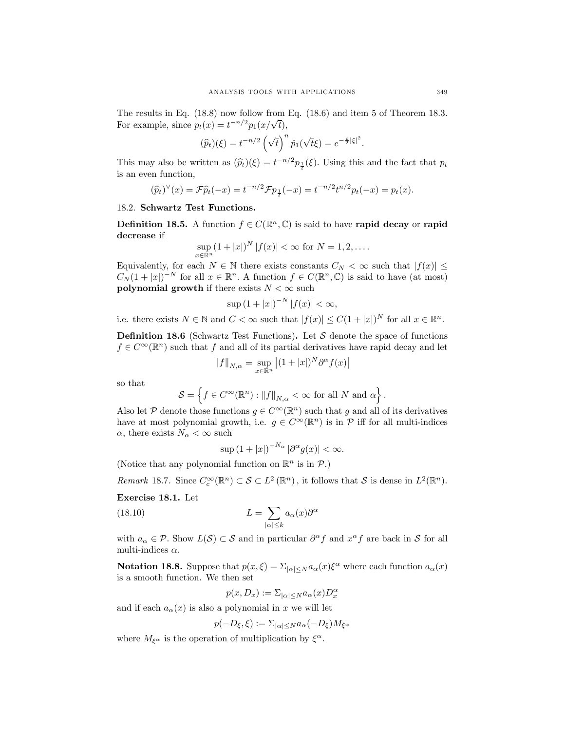The results in Eq. (18.8) now follow from Eq. (18.6) and item 5 of Theorem 18.3. For example, since  $p_t(x) = t^{-n/2} p_1(x/\sqrt{t}),$ 

$$
(\widehat{p}_t)(\xi) = t^{-n/2} \left(\sqrt{t}\right)^n \widehat{p}_1(\sqrt{t}\xi) = e^{-\frac{t}{2}|\xi|^2}.
$$

This may also be written as  $(\widehat{p}_t)(\xi) = t^{-n/2} p_{\frac{1}{t}}(\xi)$ . Using this and the fact that  $p_t$ is an even function,

$$
(\widehat{p}_t)^{\vee}(x) = \mathcal{F}\widehat{p}_t(-x) = t^{-n/2}\mathcal{F}p_{\frac{1}{t}}(-x) = t^{-n/2}t^{n/2}p_t(-x) = p_t(x).
$$

## 18.2. Schwartz Test Functions.

**Definition 18.5.** A function  $f \in C(\mathbb{R}^n, \mathbb{C})$  is said to have rapid decay or rapid decrease if

$$
\sup_{x \in \mathbb{R}^n} (1+|x|)^N |f(x)| < \infty \text{ for } N = 1, 2, ....
$$

Equivalently, for each  $N \in \mathbb{N}$  there exists constants  $C_N < \infty$  such that  $|f(x)| \le$  $C_N(1+|x|)^{-N}$  for all  $x \in \mathbb{R}^n$ . A function  $f \in C(\mathbb{R}^n,\mathbb{C})$  is said to have (at most) polynomial growth if there exists  $N < \infty$  such

$$
\sup\left(1+|x|\right)^{-N}|f(x)|<\infty,
$$

i.e. there exists  $N \in \mathbb{N}$  and  $C < \infty$  such that  $|f(x)| \leq C(1+|x|)^N$  for all  $x \in \mathbb{R}^n$ .

**Definition 18.6** (Schwartz Test Functions). Let  $S$  denote the space of functions  $f \in C^{\infty}(\mathbb{R}^n)$  such that f and all of its partial derivatives have rapid decay and let

$$
\left\|f\right\|_{N,\alpha}=\sup_{x\in\mathbb{R}^n}\left|(1+|x|)^N\partial^\alpha f(x)\right|
$$

so that

$$
\mathcal{S} = \left\{ f \in C^{\infty}(\mathbb{R}^n) : ||f||_{N,\alpha} < \infty \text{ for all } N \text{ and } \alpha \right\}.
$$

Also let P denote those functions  $g \in C^{\infty}(\mathbb{R}^n)$  such that g and all of its derivatives have at most polynomial growth, i.e.  $g \in C^{\infty}(\mathbb{R}^n)$  is in  $\mathcal P$  iff for all multi-indices  $\alpha$ , there exists  $N_{\alpha} < \infty$  such

$$
\sup\left(1+|x|\right)^{-N_{\alpha}}|\partial^{\alpha}g(x)|<\infty.
$$

(Notice that any polynomial function on  $\mathbb{R}^n$  is in  $\mathcal{P}$ .)

Remark 18.7. Since  $C_c^{\infty}(\mathbb{R}^n) \subset S \subset L^2(\mathbb{R}^n)$ , it follows that S is dense in  $L^2(\mathbb{R}^n)$ .

Exercise 18.1. Let

(18.10) 
$$
L = \sum_{|\alpha| \leq k} a_{\alpha}(x) \partial^{\alpha}
$$

with  $a_{\alpha} \in \mathcal{P}$ . Show  $L(\mathcal{S}) \subset \mathcal{S}$  and in particular  $\partial^{\alpha} f$  and  $x^{\alpha} f$  are back in  $\mathcal{S}$  for all multi-indices  $\alpha$ .

**Notation 18.8.** Suppose that  $p(x, \xi) = \sum_{|\alpha| \leq N} a_{\alpha}(x) \xi^{\alpha}$  where each function  $a_{\alpha}(x)$ is a smooth function. We then set

$$
p(x, D_x) := \Sigma_{|\alpha| \le N} a_\alpha(x) D_x^\alpha
$$

and if each  $a_{\alpha}(x)$  is also a polynomial in x we will let

$$
p(-D_{\xi}, \xi) := \Sigma_{|\alpha| \le N} a_{\alpha} (-D_{\xi}) M_{\xi^{\alpha}}
$$

where  $M_{\xi^{\alpha}}$  is the operation of multiplication by  $\xi^{\alpha}$ .